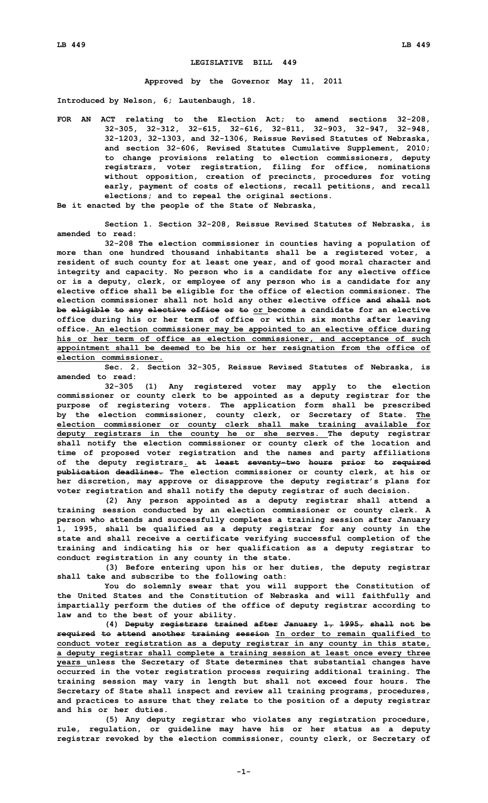## **LEGISLATIVE BILL 449**

**Approved by the Governor May 11, 2011**

**Introduced by Nelson, 6; Lautenbaugh, 18.**

**FOR AN ACT relating to the Election Act; to amend sections 32-208, 32-305, 32-312, 32-615, 32-616, 32-811, 32-903, 32-947, 32-948, 32-1203, 32-1303, and 32-1306, Reissue Revised Statutes of Nebraska, and section 32-606, Revised Statutes Cumulative Supplement, 2010; to change provisions relating to election commissioners, deputy registrars, voter registration, filing for office, nominations without opposition, creation of precincts, procedures for voting early, payment of costs of elections, recall petitions, and recall elections; and to repeal the original sections.**

**Be it enacted by the people of the State of Nebraska,**

**Section 1. Section 32-208, Reissue Revised Statutes of Nebraska, is amended to read:**

**32-208 The election commissioner in counties having <sup>a</sup> population of more than one hundred thousand inhabitants shall be <sup>a</sup> registered voter, <sup>a</sup> resident of such county for at least one year, and of good moral character and integrity and capacity. No person who is <sup>a</sup> candidate for any elective office or is <sup>a</sup> deputy, clerk, or employee of any person who is <sup>a</sup> candidate for any elective office shall be eligible for the office of election commissioner. The election commissioner shall not hold any other elective office and shall not be eligible to any elective office or to or become <sup>a</sup> candidate for an elective office during his or her term of office or within six months after leaving office. An election commissioner may be appointed to an elective office during his or her term of office as election commissioner, and acceptance of such appointment shall be deemed to be his or her resignation from the office of election commissioner.**

**Sec. 2. Section 32-305, Reissue Revised Statutes of Nebraska, is amended to read:**

**32-305 (1) Any registered voter may apply to the election commissioner or county clerk to be appointed as <sup>a</sup> deputy registrar for the purpose of registering voters. The application form shall be prescribed by the election commissioner, county clerk, or Secretary of State. The election commissioner or county clerk shall make training available for deputy registrars in the county he or she serves. The deputy registrar shall notify the election commissioner or county clerk of the location and time of proposed voter registration and the names and party affiliations of the deputy registrars. at least seventy-two hours prior to required publication deadlines. The election commissioner or county clerk, at his or her discretion, may approve or disapprove the deputy registrar's plans for voter registration and shall notify the deputy registrar of such decision.**

**(2) Any person appointed as <sup>a</sup> deputy registrar shall attend <sup>a</sup> training session conducted by an election commissioner or county clerk. A person who attends and successfully completes <sup>a</sup> training session after January 1, 1995, shall be qualified as <sup>a</sup> deputy registrar for any county in the state and shall receive <sup>a</sup> certificate verifying successful completion of the training and indicating his or her qualification as <sup>a</sup> deputy registrar to conduct registration in any county in the state.**

**(3) Before entering upon his or her duties, the deputy registrar shall take and subscribe to the following oath:**

**You do solemnly swear that you will support the Constitution of the United States and the Constitution of Nebraska and will faithfully and impartially perform the duties of the office of deputy registrar according to law and to the best of your ability.**

**(4) Deputy registrars trained after January 1, 1995, shall not be required to attend another training session In order to remain qualified to conduct voter registration as <sup>a</sup> deputy registrar in any county in this state, <sup>a</sup> deputy registrar shall complete <sup>a</sup> training session at least once every three years unless the Secretary of State determines that substantial changes have occurred in the voter registration process requiring additional training. The training session may vary in length but shall not exceed four hours. The Secretary of State shall inspect and review all training programs, procedures, and practices to assure that they relate to the position of <sup>a</sup> deputy registrar and his or her duties.**

**(5) Any deputy registrar who violates any registration procedure, rule, regulation, or guideline may have his or her status as <sup>a</sup> deputy registrar revoked by the election commissioner, county clerk, or Secretary of**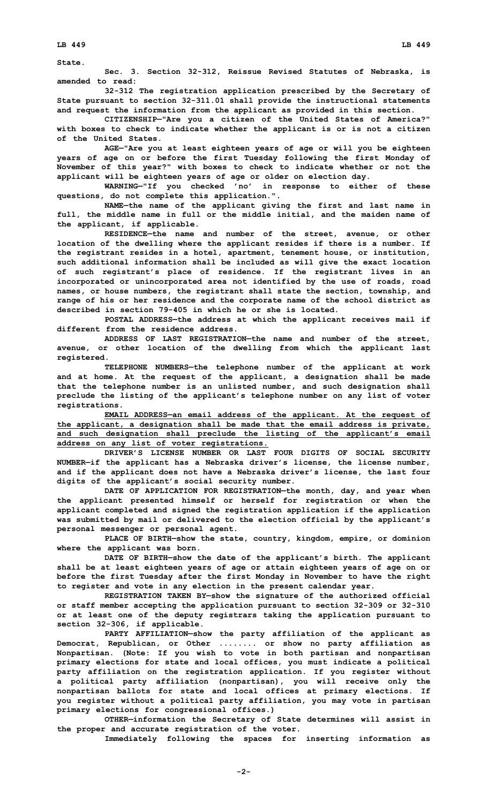**State.**

**Sec. 3. Section 32-312, Reissue Revised Statutes of Nebraska, is amended to read:**

**32-312 The registration application prescribed by the Secretary of State pursuant to section 32-311.01 shall provide the instructional statements and request the information from the applicant as provided in this section.**

**CITIZENSHIP—"Are you <sup>a</sup> citizen of the United States of America?" with boxes to check to indicate whether the applicant is or is not <sup>a</sup> citizen of the United States.**

**AGE—"Are you at least eighteen years of age or will you be eighteen years of age on or before the first Tuesday following the first Monday of November of this year?" with boxes to check to indicate whether or not the applicant will be eighteen years of age or older on election day.**

**WARNING—"If you checked 'no' in response to either of these questions, do not complete this application.".**

**NAME—the name of the applicant giving the first and last name in full, the middle name in full or the middle initial, and the maiden name of the applicant, if applicable.**

**RESIDENCE—the name and number of the street, avenue, or other location of the dwelling where the applicant resides if there is <sup>a</sup> number. If the registrant resides in <sup>a</sup> hotel, apartment, tenement house, or institution, such additional information shall be included as will give the exact location of such registrant's place of residence. If the registrant lives in an incorporated or unincorporated area not identified by the use of roads, road names, or house numbers, the registrant shall state the section, township, and range of his or her residence and the corporate name of the school district as described in section 79-405 in which he or she is located.**

**POSTAL ADDRESS—the address at which the applicant receives mail if different from the residence address.**

**ADDRESS OF LAST REGISTRATION—the name and number of the street, avenue, or other location of the dwelling from which the applicant last registered.**

**TELEPHONE NUMBERS—the telephone number of the applicant at work and at home. At the request of the applicant, <sup>a</sup> designation shall be made that the telephone number is an unlisted number, and such designation shall preclude the listing of the applicant's telephone number on any list of voter registrations.**

**EMAIL ADDRESS—an email address of the applicant. At the request of the applicant, <sup>a</sup> designation shall be made that the email address is private, and such designation shall preclude the listing of the applicant's email address on any list of voter registrations.**

**DRIVER'S LICENSE NUMBER OR LAST FOUR DIGITS OF SOCIAL SECURITY NUMBER—if the applicant has <sup>a</sup> Nebraska driver's license, the license number, and if the applicant does not have <sup>a</sup> Nebraska driver's license, the last four digits of the applicant's social security number.**

**DATE OF APPLICATION FOR REGISTRATION—the month, day, and year when the applicant presented himself or herself for registration or when the applicant completed and signed the registration application if the application was submitted by mail or delivered to the election official by the applicant's personal messenger or personal agent.**

**PLACE OF BIRTH—show the state, country, kingdom, empire, or dominion where the applicant was born.**

**DATE OF BIRTH—show the date of the applicant's birth. The applicant shall be at least eighteen years of age or attain eighteen years of age on or before the first Tuesday after the first Monday in November to have the right to register and vote in any election in the present calendar year.**

**REGISTRATION TAKEN BY—show the signature of the authorized official or staff member accepting the application pursuant to section 32-309 or 32-310 or at least one of the deputy registrars taking the application pursuant to section 32-306, if applicable.**

**PARTY AFFILIATION—show the party affiliation of the applicant as Democrat, Republican, or Other ........ or show no party affiliation as Nonpartisan. (Note: If you wish to vote in both partisan and nonpartisan primary elections for state and local offices, you must indicate <sup>a</sup> political party affiliation on the registration application. If you register without <sup>a</sup> political party affiliation (nonpartisan), you will receive only the nonpartisan ballots for state and local offices at primary elections. If you register without <sup>a</sup> political party affiliation, you may vote in partisan primary elections for congressional offices.)**

**OTHER—information the Secretary of State determines will assist in the proper and accurate registration of the voter.**

**Immediately following the spaces for inserting information as**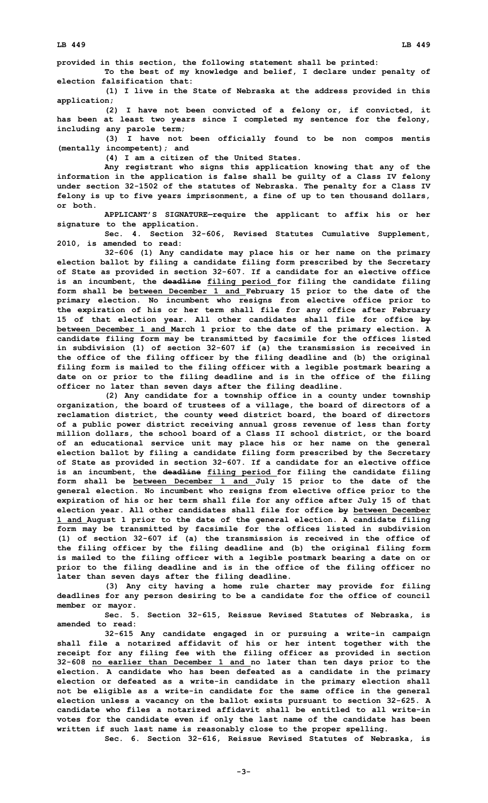**provided in this section, the following statement shall be printed:**

**To the best of my knowledge and belief, I declare under penalty of election falsification that:**

**(1) <sup>I</sup> live in the State of Nebraska at the address provided in this application;**

**(2) <sup>I</sup> have not been convicted of <sup>a</sup> felony or, if convicted, it has been at least two years since I completed my sentence for the felony, including any parole term;**

**(3) <sup>I</sup> have not been officially found to be non compos mentis (mentally incompetent); and**

**(4) I am <sup>a</sup> citizen of the United States.**

**Any registrant who signs this application knowing that any of the information in the application is false shall be guilty of <sup>a</sup> Class IV felony under section 32-1502 of the statutes of Nebraska. The penalty for <sup>a</sup> Class IV felony is up to five years imprisonment, <sup>a</sup> fine of up to ten thousand dollars, or both.**

**APPLICANT'S SIGNATURE—require the applicant to affix his or her signature to the application.**

**Sec. 4. Section 32-606, Revised Statutes Cumulative Supplement, 2010, is amended to read:**

**32-606 (1) Any candidate may place his or her name on the primary election ballot by filing <sup>a</sup> candidate filing form prescribed by the Secretary of State as provided in section 32-607. If <sup>a</sup> candidate for an elective office is an incumbent, the deadline filing period for filing the candidate filing form shall be between December 1 and February 15 prior to the date of the primary election. No incumbent who resigns from elective office prior to the expiration of his or her term shall file for any office after February 15 of that election year. All other candidates shall file for office by between December 1 and March 1 prior to the date of the primary election. <sup>A</sup> candidate filing form may be transmitted by facsimile for the offices listed in subdivision (1) of section 32-607 if (a) the transmission is received in the office of the filing officer by the filing deadline and (b) the original filing form is mailed to the filing officer with <sup>a</sup> legible postmark bearing <sup>a</sup> date on or prior to the filing deadline and is in the office of the filing officer no later than seven days after the filing deadline.**

**(2) Any candidate for <sup>a</sup> township office in <sup>a</sup> county under township organization, the board of trustees of <sup>a</sup> village, the board of directors of <sup>a</sup> reclamation district, the county weed district board, the board of directors of <sup>a</sup> public power district receiving annual gross revenue of less than forty million dollars, the school board of <sup>a</sup> Class II school district, or the board of an educational service unit may place his or her name on the general election ballot by filing <sup>a</sup> candidate filing form prescribed by the Secretary of State as provided in section 32-607. If <sup>a</sup> candidate for an elective office is an incumbent, the deadline filing period for filing the candidate filing form shall be between December 1 and July 15 prior to the date of the general election. No incumbent who resigns from elective office prior to the expiration of his or her term shall file for any office after July 15 of that election year. All other candidates shall file for office by between December 1 and August 1 prior to the date of the general election. <sup>A</sup> candidate filing form may be transmitted by facsimile for the offices listed in subdivision (1) of section 32-607 if (a) the transmission is received in the office of the filing officer by the filing deadline and (b) the original filing form is mailed to the filing officer with <sup>a</sup> legible postmark bearing <sup>a</sup> date on or prior to the filing deadline and is in the office of the filing officer no later than seven days after the filing deadline.**

**(3) Any city having <sup>a</sup> home rule charter may provide for filing deadlines for any person desiring to be <sup>a</sup> candidate for the office of council member or mayor.**

**Sec. 5. Section 32-615, Reissue Revised Statutes of Nebraska, is amended to read:**

**32-615 Any candidate engaged in or pursuing <sup>a</sup> write-in campaign shall file <sup>a</sup> notarized affidavit of his or her intent together with the receipt for any filing fee with the filing officer as provided in section 32-608 no earlier than December 1 and no later than ten days prior to the election. A candidate who has been defeated as <sup>a</sup> candidate in the primary election or defeated as <sup>a</sup> write-in candidate in the primary election shall not be eligible as <sup>a</sup> write-in candidate for the same office in the general election unless <sup>a</sup> vacancy on the ballot exists pursuant to section 32-625. <sup>A</sup> candidate who files a notarized affidavit shall be entitled to all write-in votes for the candidate even if only the last name of the candidate has been written if such last name is reasonably close to the proper spelling.**

**Sec. 6. Section 32-616, Reissue Revised Statutes of Nebraska, is**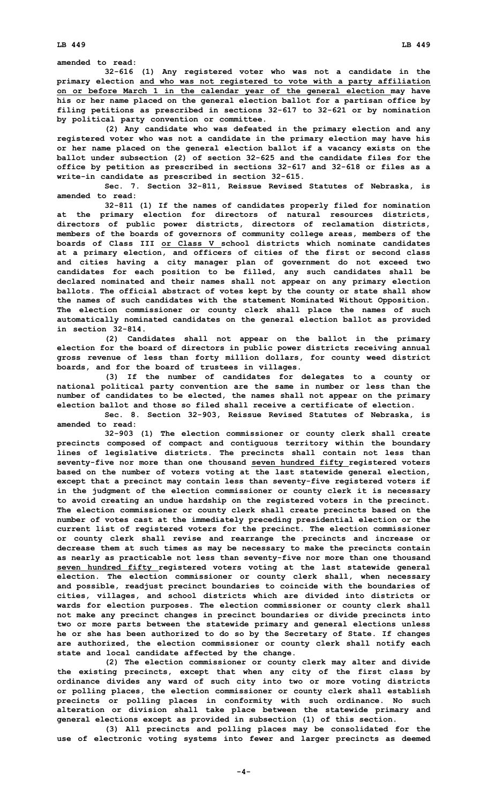**amended to read:**

**32-616 (1) Any registered voter who was not <sup>a</sup> candidate in the primary election and who was not registered to vote with <sup>a</sup> party affiliation on or before March 1 in the calendar year of the general election may have his or her name placed on the general election ballot for <sup>a</sup> partisan office by filing petitions as prescribed in sections 32-617 to 32-621 or by nomination by political party convention or committee.**

**(2) Any candidate who was defeated in the primary election and any registered voter who was not <sup>a</sup> candidate in the primary election may have his or her name placed on the general election ballot if <sup>a</sup> vacancy exists on the ballot under subsection (2) of section 32-625 and the candidate files for the office by petition as prescribed in sections 32-617 and 32-618 or files as <sup>a</sup> write-in candidate as prescribed in section 32-615.**

**Sec. 7. Section 32-811, Reissue Revised Statutes of Nebraska, is amended to read:**

**32-811 (1) If the names of candidates properly filed for nomination at the primary election for directors of natural resources districts, directors of public power districts, directors of reclamation districts, members of the boards of governors of community college areas, members of the boards of Class III or Class V school districts which nominate candidates at <sup>a</sup> primary election, and officers of cities of the first or second class and cities having <sup>a</sup> city manager plan of government do not exceed two candidates for each position to be filled, any such candidates shall be declared nominated and their names shall not appear on any primary election ballots. The official abstract of votes kept by the county or state shall show the names of such candidates with the statement Nominated Without Opposition. The election commissioner or county clerk shall place the names of such automatically nominated candidates on the general election ballot as provided in section 32-814.**

**(2) Candidates shall not appear on the ballot in the primary election for the board of directors in public power districts receiving annual gross revenue of less than forty million dollars, for county weed district boards, and for the board of trustees in villages.**

**(3) If the number of candidates for delegates to <sup>a</sup> county or national political party convention are the same in number or less than the number of candidates to be elected, the names shall not appear on the primary election ballot and those so filed shall receive a certificate of election.**

**Sec. 8. Section 32-903, Reissue Revised Statutes of Nebraska, is amended to read:**

**32-903 (1) The election commissioner or county clerk shall create precincts composed of compact and contiguous territory within the boundary lines of legislative districts. The precincts shall contain not less than seventy-five nor more than one thousand seven hundred fifty registered voters based on the number of voters voting at the last statewide general election, except that <sup>a</sup> precinct may contain less than seventy-five registered voters if in the judgment of the election commissioner or county clerk it is necessary to avoid creating an undue hardship on the registered voters in the precinct. The election commissioner or county clerk shall create precincts based on the number of votes cast at the immediately preceding presidential election or the current list of registered voters for the precinct. The election commissioner or county clerk shall revise and rearrange the precincts and increase or decrease them at such times as may be necessary to make the precincts contain as nearly as practicable not less than seventy-five nor more than one thousand seven hundred fifty registered voters voting at the last statewide general election. The election commissioner or county clerk shall, when necessary and possible, readjust precinct boundaries to coincide with the boundaries of cities, villages, and school districts which are divided into districts or wards for election purposes. The election commissioner or county clerk shall not make any precinct changes in precinct boundaries or divide precincts into two or more parts between the statewide primary and general elections unless he or she has been authorized to do so by the Secretary of State. If changes are authorized, the election commissioner or county clerk shall notify each state and local candidate affected by the change.**

**(2) The election commissioner or county clerk may alter and divide the existing precincts, except that when any city of the first class by ordinance divides any ward of such city into two or more voting districts or polling places, the election commissioner or county clerk shall establish precincts or polling places in conformity with such ordinance. No such alteration or division shall take place between the statewide primary and general elections except as provided in subsection (1) of this section.**

**(3) All precincts and polling places may be consolidated for the use of electronic voting systems into fewer and larger precincts as deemed**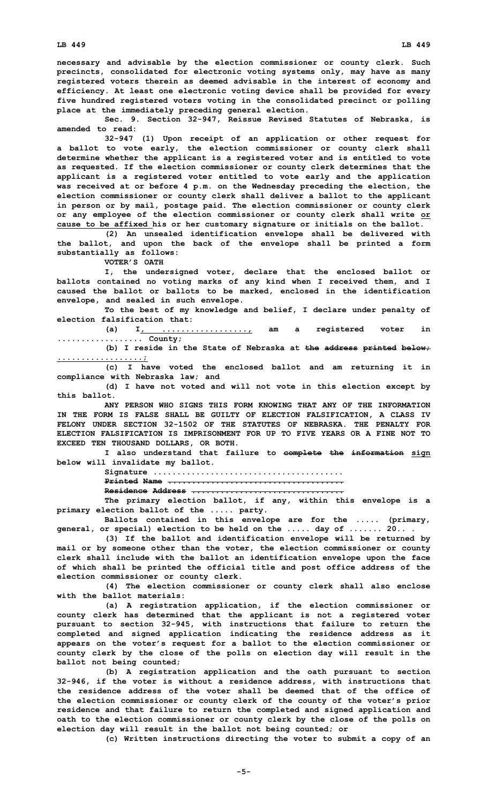**necessary and advisable by the election commissioner or county clerk. Such precincts, consolidated for electronic voting systems only, may have as many registered voters therein as deemed advisable in the interest of economy and efficiency. At least one electronic voting device shall be provided for every five hundred registered voters voting in the consolidated precinct or polling place at the immediately preceding general election.**

**Sec. 9. Section 32-947, Reissue Revised Statutes of Nebraska, is amended to read:**

**32-947 (1) Upon receipt of an application or other request for <sup>a</sup> ballot to vote early, the election commissioner or county clerk shall determine whether the applicant is <sup>a</sup> registered voter and is entitled to vote as requested. If the election commissioner or county clerk determines that the applicant is <sup>a</sup> registered voter entitled to vote early and the application was received at or before 4 p.m. on the Wednesday preceding the election, the election commissioner or county clerk shall deliver <sup>a</sup> ballot to the applicant in person or by mail, postage paid. The election commissioner or county clerk or any employee of the election commissioner or county clerk shall write or cause to be affixed his or her customary signature or initials on the ballot.**

**(2) An unsealed identification envelope shall be delivered with the ballot, and upon the back of the envelope shall be printed <sup>a</sup> form substantially as follows:**

**VOTER'S OATH**

**I, the undersigned voter, declare that the enclosed ballot or ballots contained no voting marks of any kind when I received them, and I caused the ballot or ballots to be marked, enclosed in the identification envelope, and sealed in such envelope.**

**To the best of my knowledge and belief, I declare under penalty of election falsification that:**

**(a) I, .................., am <sup>a</sup> registered voter in .................. County;**

**(b) <sup>I</sup> reside in the State of Nebraska at the address printed below; ..................;**

**(c) <sup>I</sup> have voted the enclosed ballot and am returning it in compliance with Nebraska law; and**

**(d) <sup>I</sup> have not voted and will not vote in this election except by this ballot.**

**ANY PERSON WHO SIGNS THIS FORM KNOWING THAT ANY OF THE INFORMATION IN THE FORM IS FALSE SHALL BE GUILTY OF ELECTION FALSIFICATION, A CLASS IV FELONY UNDER SECTION 32-1502 OF THE STATUTES OF NEBRASKA. THE PENALTY FOR ELECTION FALSIFICATION IS IMPRISONMENT FOR UP TO FIVE YEARS OR A FINE NOT TO EXCEED TEN THOUSAND DOLLARS, OR BOTH.**

**I also understand that failure to complete the information sign below will invalidate my ballot.**

> **Signature ........................................ Printed Name ..................................... Residence Address ................................**

**The primary election ballot, if any, within this envelope is <sup>a</sup> primary election ballot of the ..... party.**

**Ballots contained in this envelope are for the ..... (primary, general, or special) election to be held on the ..... day of ....... 20.. .**

**(3) If the ballot and identification envelope will be returned by mail or by someone other than the voter, the election commissioner or county clerk shall include with the ballot an identification envelope upon the face of which shall be printed the official title and post office address of the election commissioner or county clerk.**

**(4) The election commissioner or county clerk shall also enclose with the ballot materials:**

**(a) <sup>A</sup> registration application, if the election commissioner or county clerk has determined that the applicant is not <sup>a</sup> registered voter pursuant to section 32-945, with instructions that failure to return the completed and signed application indicating the residence address as it appears on the voter's request for <sup>a</sup> ballot to the election commissioner or county clerk by the close of the polls on election day will result in the ballot not being counted;**

**(b) <sup>A</sup> registration application and the oath pursuant to section 32-946, if the voter is without <sup>a</sup> residence address, with instructions that the residence address of the voter shall be deemed that of the office of the election commissioner or county clerk of the county of the voter's prior residence and that failure to return the completed and signed application and oath to the election commissioner or county clerk by the close of the polls on election day will result in the ballot not being counted; or**

**(c) Written instructions directing the voter to submit <sup>a</sup> copy of an**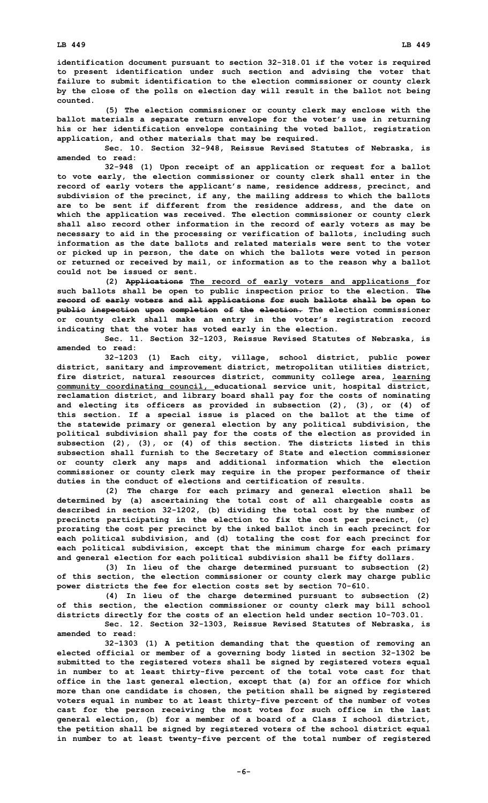**identification document pursuant to section 32-318.01 if the voter is required to present identification under such section and advising the voter that failure to submit identification to the election commissioner or county clerk by the close of the polls on election day will result in the ballot not being counted.**

**(5) The election commissioner or county clerk may enclose with the ballot materials <sup>a</sup> separate return envelope for the voter's use in returning his or her identification envelope containing the voted ballot, registration application, and other materials that may be required.**

**Sec. 10. Section 32-948, Reissue Revised Statutes of Nebraska, is amended to read:**

**32-948 (1) Upon receipt of an application or request for <sup>a</sup> ballot to vote early, the election commissioner or county clerk shall enter in the record of early voters the applicant's name, residence address, precinct, and subdivision of the precinct, if any, the mailing address to which the ballots are to be sent if different from the residence address, and the date on which the application was received. The election commissioner or county clerk shall also record other information in the record of early voters as may be necessary to aid in the processing or verification of ballots, including such information as the date ballots and related materials were sent to the voter or picked up in person, the date on which the ballots were voted in person or returned or received by mail, or information as to the reason why <sup>a</sup> ballot could not be issued or sent.**

**(2) Applications The record of early voters and applications for such ballots shall be open to public inspection prior to the election. The record of early voters and all applications for such ballots shall be open to public inspection upon completion of the election. The election commissioner or county clerk shall make an entry in the voter's registration record indicating that the voter has voted early in the election.**

**Sec. 11. Section 32-1203, Reissue Revised Statutes of Nebraska, is amended to read:**

**32-1203 (1) Each city, village, school district, public power district, sanitary and improvement district, metropolitan utilities district, fire district, natural resources district, community college area, learning community coordinating council, educational service unit, hospital district, reclamation district, and library board shall pay for the costs of nominating and electing its officers as provided in subsection (2), (3), or (4) of this section. If <sup>a</sup> special issue is placed on the ballot at the time of the statewide primary or general election by any political subdivision, the political subdivision shall pay for the costs of the election as provided in subsection (2), (3), or (4) of this section. The districts listed in this subsection shall furnish to the Secretary of State and election commissioner or county clerk any maps and additional information which the election commissioner or county clerk may require in the proper performance of their duties in the conduct of elections and certification of results.**

**(2) The charge for each primary and general election shall be determined by (a) ascertaining the total cost of all chargeable costs as described in section 32-1202, (b) dividing the total cost by the number of precincts participating in the election to fix the cost per precinct, (c) prorating the cost per precinct by the inked ballot inch in each precinct for each political subdivision, and (d) totaling the cost for each precinct for each political subdivision, except that the minimum charge for each primary and general election for each political subdivision shall be fifty dollars.**

**(3) In lieu of the charge determined pursuant to subsection (2) of this section, the election commissioner or county clerk may charge public power districts the fee for election costs set by section 70-610.**

**(4) In lieu of the charge determined pursuant to subsection (2) of this section, the election commissioner or county clerk may bill school districts directly for the costs of an election held under section 10-703.01.**

**Sec. 12. Section 32-1303, Reissue Revised Statutes of Nebraska, is amended to read:**

**32-1303 (1) <sup>A</sup> petition demanding that the question of removing an elected official or member of <sup>a</sup> governing body listed in section 32-1302 be submitted to the registered voters shall be signed by registered voters equal in number to at least thirty-five percent of the total vote cast for that office in the last general election, except that (a) for an office for which more than one candidate is chosen, the petition shall be signed by registered voters equal in number to at least thirty-five percent of the number of votes cast for the person receiving the most votes for such office in the last general election, (b) for <sup>a</sup> member of <sup>a</sup> board of <sup>a</sup> Class <sup>I</sup> school district, the petition shall be signed by registered voters of the school district equal in number to at least twenty-five percent of the total number of registered**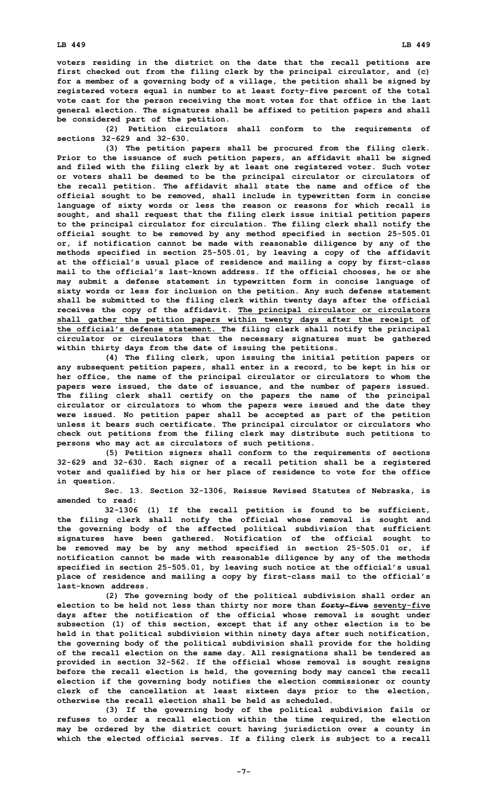**voters residing in the district on the date that the recall petitions are first checked out from the filing clerk by the principal circulator, and (c) for <sup>a</sup> member of <sup>a</sup> governing body of <sup>a</sup> village, the petition shall be signed by registered voters equal in number to at least forty-five percent of the total vote cast for the person receiving the most votes for that office in the last general election. The signatures shall be affixed to petition papers and shall be considered part of the petition.**

**(2) Petition circulators shall conform to the requirements of sections 32-629 and 32-630.**

**(3) The petition papers shall be procured from the filing clerk. Prior to the issuance of such petition papers, an affidavit shall be signed and filed with the filing clerk by at least one registered voter. Such voter or voters shall be deemed to be the principal circulator or circulators of the recall petition. The affidavit shall state the name and office of the official sought to be removed, shall include in typewritten form in concise language of sixty words or less the reason or reasons for which recall is sought, and shall request that the filing clerk issue initial petition papers to the principal circulator for circulation. The filing clerk shall notify the official sought to be removed by any method specified in section 25-505.01 or, if notification cannot be made with reasonable diligence by any of the methods specified in section 25-505.01, by leaving <sup>a</sup> copy of the affidavit at the official's usual place of residence and mailing <sup>a</sup> copy by first-class mail to the official's last-known address. If the official chooses, he or she may submit <sup>a</sup> defense statement in typewritten form in concise language of sixty words or less for inclusion on the petition. Any such defense statement shall be submitted to the filing clerk within twenty days after the official receives the copy of the affidavit. The principal circulator or circulators shall gather the petition papers within twenty days after the receipt of the official's defense statement. The filing clerk shall notify the principal circulator or circulators that the necessary signatures must be gathered within thirty days from the date of issuing the petitions.**

**(4) The filing clerk, upon issuing the initial petition papers or any subsequent petition papers, shall enter in <sup>a</sup> record, to be kept in his or her office, the name of the principal circulator or circulators to whom the papers were issued, the date of issuance, and the number of papers issued. The filing clerk shall certify on the papers the name of the principal circulator or circulators to whom the papers were issued and the date they were issued. No petition paper shall be accepted as part of the petition unless it bears such certificate. The principal circulator or circulators who check out petitions from the filing clerk may distribute such petitions to persons who may act as circulators of such petitions.**

**(5) Petition signers shall conform to the requirements of sections 32-629 and 32-630. Each signer of <sup>a</sup> recall petition shall be <sup>a</sup> registered voter and qualified by his or her place of residence to vote for the office in question.**

**Sec. 13. Section 32-1306, Reissue Revised Statutes of Nebraska, is amended to read:**

**32-1306 (1) If the recall petition is found to be sufficient, the filing clerk shall notify the official whose removal is sought and the governing body of the affected political subdivision that sufficient signatures have been gathered. Notification of the official sought to be removed may be by any method specified in section 25-505.01 or, if notification cannot be made with reasonable diligence by any of the methods specified in section 25-505.01, by leaving such notice at the official's usual place of residence and mailing <sup>a</sup> copy by first-class mail to the official's last-known address.**

**(2) The governing body of the political subdivision shall order an election to be held not less than thirty nor more than forty-five seventy-five days after the notification of the official whose removal is sought under subsection (1) of this section, except that if any other election is to be held in that political subdivision within ninety days after such notification, the governing body of the political subdivision shall provide for the holding of the recall election on the same day. All resignations shall be tendered as provided in section 32-562. If the official whose removal is sought resigns before the recall election is held, the governing body may cancel the recall election if the governing body notifies the election commissioner or county clerk of the cancellation at least sixteen days prior to the election, otherwise the recall election shall be held as scheduled.**

**(3) If the governing body of the political subdivision fails or refuses to order <sup>a</sup> recall election within the time required, the election may be ordered by the district court having jurisdiction over <sup>a</sup> county in which the elected official serves. If <sup>a</sup> filing clerk is subject to <sup>a</sup> recall**